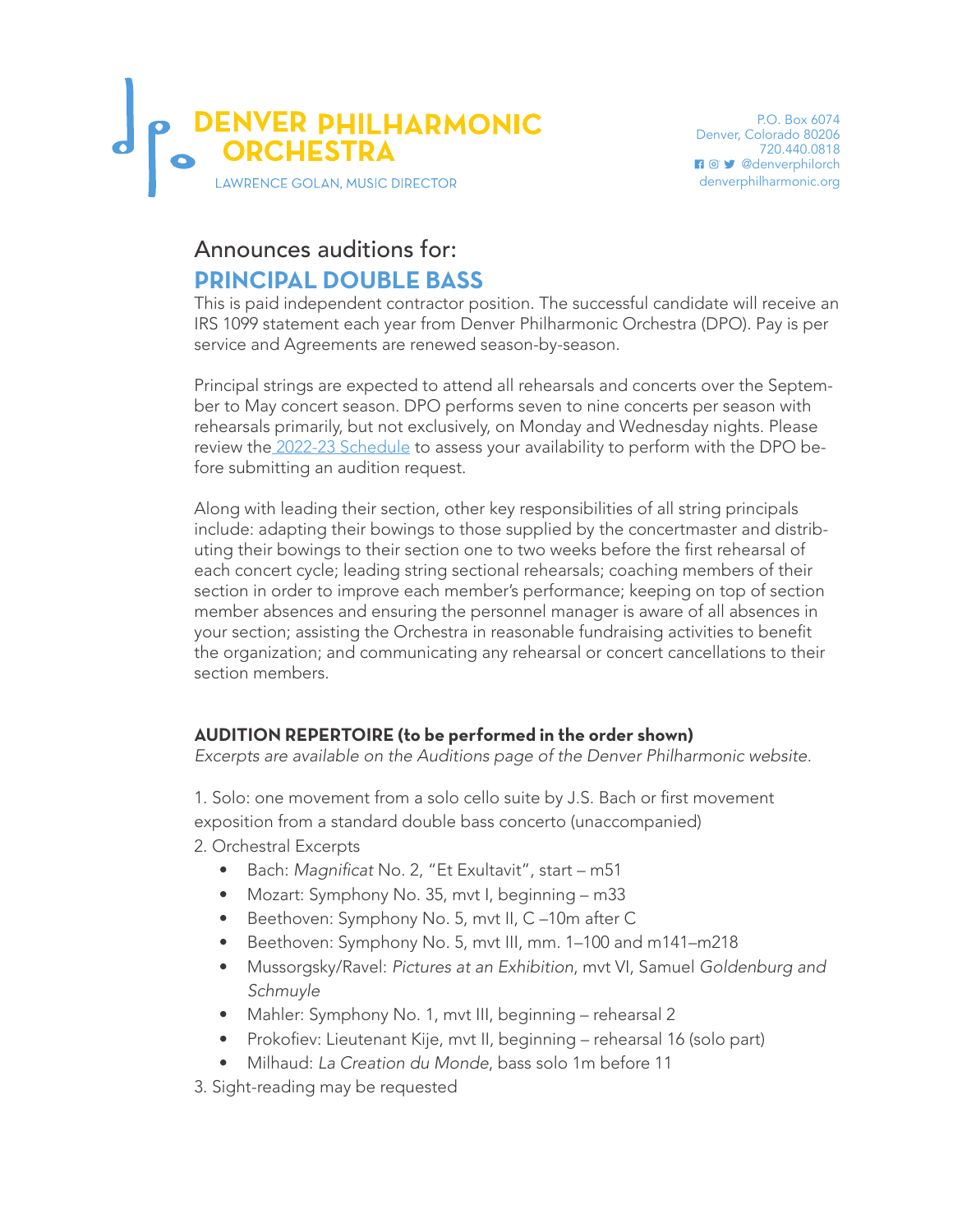

## Announces auditions for: **PRINCIPAL DOUBLE BASS**

This is paid independent contractor position. The successful candidate will receive an IRS 1099 statement each year from Denver Philharmonic Orchestra (DPO). Pay is per service and Agreements are renewed season-by-season.

Principal strings are expected to attend all rehearsals and concerts over the September to May concert season. DPO performs seven to nine concerts per season with rehearsals primarily, but not exclusively, on Monday and Wednesday nights. Please review the [2022-23 Schedule](https://denverphilharmonic.org/wp-content/uploads/2022/05/DPO-Schedule-2022-23.pdf) to assess your availability to perform with the DPO before submitting an audition request.

Along with leading their section, other key responsibilities of all string principals include: adapting their bowings to those supplied by the concertmaster and distributing their bowings to their section one to two weeks before the first rehearsal of each concert cycle; leading string sectional rehearsals; coaching members of their section in order to improve each member's performance; keeping on top of section member absences and ensuring the personnel manager is aware of all absences in your section; assisting the Orchestra in reasonable fundraising activities to benefit the organization; and communicating any rehearsal or concert cancellations to their section members.

## **AUDITION REPERTOIRE (to be performed in the order shown)**

*Excerpts are available on the Auditions page of the Denver Philharmonic website.* 

1. Solo: one movement from a solo cello suite by J.S. Bach or first movement exposition from a standard double bass concerto (unaccompanied) 2. Orchestral Excerpts

- Bach: Magnificat No. 2, "Et Exultavit", start m51
- Mozart: Symphony No. 35, mvt I, beginning m33
- Beethoven: Symphony No. 5, mvt II, C –10m after C
- Beethoven: Symphony No. 5, mvt III, mm. 1–100 and m141–m218
- Mussorgsky/Ravel: *Pictures at an Exhibition*, mvt VI, Samuel *Goldenburg and Schmuyle*
- Mahler: Symphony No. 1, mvt III, beginning rehearsal 2
- Prokofiev: Lieutenant Kije, mvt II, beginning rehearsal 16 (solo part)
- Milhaud: *La Creation du Monde*, bass solo 1m before 11
- 3. Sight-reading may be requested